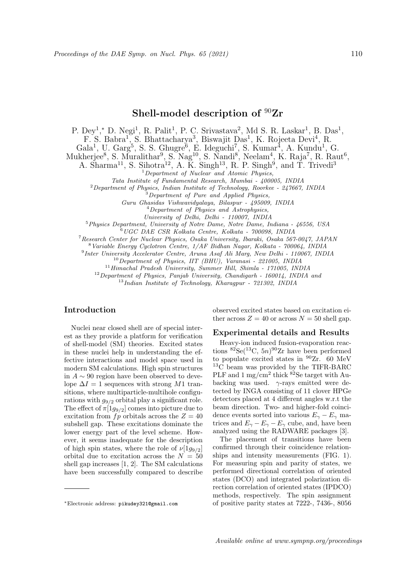# Shell-model description of <sup>90</sup>Zr

P. Dey<sup>1</sup>,\* D. Negi<sup>1</sup>, R. Palit<sup>1</sup>, P. C. Srivastava<sup>2</sup>, Md S. R. Laskar<sup>1</sup>, B. Das<sup>1</sup>,

F. S. Babra<sup>1</sup>, S. Bhattacharya<sup>3</sup>, Biswajit Das<sup>1</sup>, K. Rojeeta Devi<sup>4</sup>, R.

 $Gala<sup>1</sup>, U. Garg<sup>5</sup>, S. S. Ghugre<sup>6</sup>, E. Ideguchi<sup>7</sup>, S. Kumar<sup>4</sup>, A. Kundu<sup>1</sup>, G.$ 

Mukherjee<sup>8</sup>, S. Muralithar<sup>9</sup>, S. Nag<sup>10</sup>, S. Nandi<sup>8</sup>, Neelam<sup>4</sup>, K. Raja<sup>7</sup>, R. Raut<sup>6</sup>,

A. Sharma<sup>11</sup>, S. Sihotra<sup>12</sup>, A. K. Singh<sup>13</sup>, R. P. Singh<sup>9</sup>, and T. Trivedi<sup>3</sup>

<sup>1</sup>Department of Nuclear and Atomic Physics,

Tata Institute of Fundamental Research, Mumbai - 400005, INDIA

 $^{2}$ Department of Physics, Indian Institute of Technology, Roorkee - 247667, INDIA

 $\widetilde{B}$  Department of Pure and Applied Physics,

Guru Ghasidas Vishwavidyalaya, Bilaspur - 495009, INDIA

 $<sup>4</sup> Department of Physics and Astrophysics,$ </sup>

University of Delhi, Delhi - 110007, INDIA

<sup>5</sup>Physics Department, University of Notre Dame, Notre Dame, Indiana - 46556, USA

<sup>6</sup>UGC DAE CSR Kolkata Centre, Kolkata - 700098, INDIA

<sup>7</sup>Research Center for Nuclear Physics, Osaka University, Ibaraki, Osaka 567-0047, JAPAN

<sup>8</sup>Variable Energy Cyclotron Centre, 1/AF Bidhan Nagar, Kolkata - 700064, INDIA

9 Inter University Accelerator Centre, Aruna Asaf Ali Marg, New Delhi - 110067, INDIA

 $^{10}$ Department of Physics, IIT (BHU), Varanasi - 221005, INDIA

<sup>11</sup>Himachal Pradesh University, Summer Hill, Shimla - 171005, INDIA

 $12$ Department of Physics, Panjab University, Chandigarh - 160014, INDIA and

<sup>13</sup>Indian Institute of Technology, Kharagpur - 721302, INDIA

## Introduction

Nuclei near closed shell are of special interest as they provide a platform for verification of shell-model (SM) theories. Excited states in these nuclei help in understanding the effective interactions and model space used in modern SM calculations. High spin structures in A ∼ 90 region have been observed to develope  $\Delta I = 1$  sequences with strong M1 transitions, where multiparticle-multihole configurations with  $g_{9/2}$  orbital play a significant role. The effect of  $\pi[1g_{9/2}]$  comes into picture due to excitation from  $fp$  orbitals across the  $Z = 40$ subshell gap. These excitations dominate the lower energy part of the level scheme. However, it seems inadequate for the description of high spin states, where the role of  $\nu[1q_{9/2}]$ orbital due to excitation across the  $N = 50$ shell gap increases [1, 2]. The SM calculations have been successfully compared to describe

observed excited states based on excitation either across  $Z = 40$  or across  $N = 50$  shell gap.

### Experimental details and Results

Heavy-ion induced fusion-evaporation reactions  ${}^{82}$ Se( ${}^{13}$ C,  $5n$ ) ${}^{90}$ Zr have been performed to populate excited states in <sup>90</sup>Zr. 60 MeV <sup>13</sup>C beam was provided by the TIFR-BARC PLF and 1 mg/cm<sup>2</sup> thick <sup>82</sup>Se target with Aubacking was used.  $\gamma$ -rays emitted were detected by INGA consisting of 11 clover HPGe detectors placed at 4 different angles w.r.t the beam direction. Two- and higher-fold coincidence events sorted into various  $E_{\gamma} - E_{\gamma}$  matrices and  $E_{\gamma} - E_{\gamma} - E_{\gamma}$  cube, and, have been analyzed using the RADWARE packages [3].

The placement of transitions have been confirmed through their coincidence relationships and intensity measurements (FIG. 1). For measuring spin and parity of states, we performed directional correlation of oriented states (DCO) and integrated polarization direction correlation of oriented states (IPDCO) methods, respectively. The spin assignment of positive parity states at 7222-, 7436-, 8056

<sup>∗</sup>Electronic address: pikudey321@gmail.com